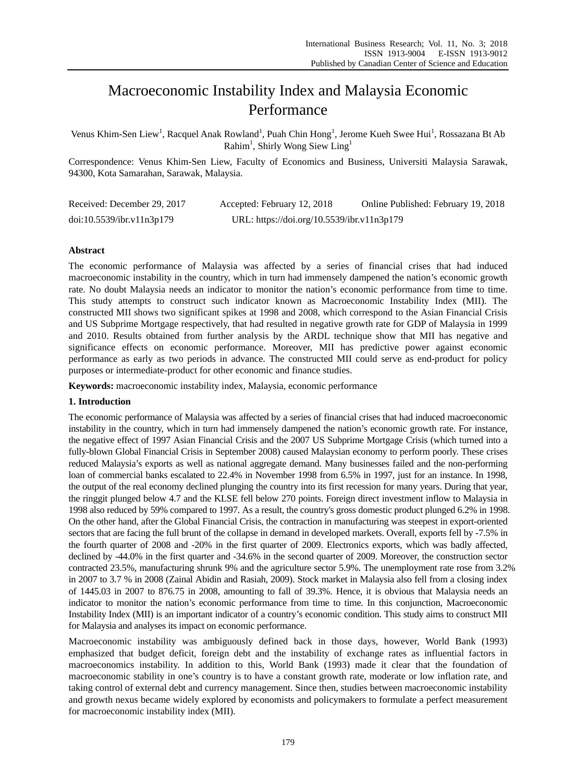# Macroeconomic Instability Index and Malaysia Economic Performance

Venus Khim-Sen Liew<sup>1</sup>, Racquel Anak Rowland<sup>1</sup>, Puah Chin Hong<sup>1</sup>, Jerome Kueh Swee Hui<sup>1</sup>, Rossazana Bt Ab Rahim<sup>1</sup>, Shirly Wong Siew Ling<sup>1</sup>

Correspondence: Venus Khim-Sen Liew, Faculty of Economics and Business, Universiti Malaysia Sarawak, 94300, Kota Samarahan, Sarawak, Malaysia.

| Received: December 29, 2017 | Accepted: February 12, 2018                | Online Published: February 19, 2018 |
|-----------------------------|--------------------------------------------|-------------------------------------|
| doi:10.5539/ibr.v11n3p179   | URL: https://doi.org/10.5539/ibr.v11n3p179 |                                     |

# **Abstract**

The economic performance of Malaysia was affected by a series of financial crises that had induced macroeconomic instability in the country, which in turn had immensely dampened the nation's economic growth rate. No doubt Malaysia needs an indicator to monitor the nation's economic performance from time to time. This study attempts to construct such indicator known as Macroeconomic Instability Index (MII). The constructed MII shows two significant spikes at 1998 and 2008, which correspond to the Asian Financial Crisis and US Subprime Mortgage respectively, that had resulted in negative growth rate for GDP of Malaysia in 1999 and 2010. Results obtained from further analysis by the ARDL technique show that MII has negative and significance effects on economic performance. Moreover, MII has predictive power against economic performance as early as two periods in advance. The constructed MII could serve as end-product for policy purposes or intermediate-product for other economic and finance studies.

**Keywords:** macroeconomic instability index, Malaysia, economic performance

# **1. Introduction**

The economic performance of Malaysia was affected by a series of financial crises that had induced macroeconomic instability in the country, which in turn had immensely dampened the nation's economic growth rate. For instance, the negative effect of 1997 Asian Financial Crisis and the 2007 US Subprime Mortgage Crisis (which turned into a fully-blown Global Financial Crisis in September 2008) caused Malaysian economy to perform poorly. These crises reduced Malaysia's exports as well as national aggregate demand. Many businesses failed and the non-performing loan of commercial banks escalated to 22.4% in November 1998 from 6.5% in 1997, just for an instance. In 1998, the output of the real economy declined plunging the country into its first recession for many years. During that year, the ringgit plunged below 4.7 and the KLSE fell below 270 points. Foreign direct investment inflow to Malaysia in 1998 also reduced by 59% compared to 1997. As a result, the country's gross domestic product plunged 6.2% in 1998. On the other hand, after the Global Financial Crisis, the contraction in manufacturing was steepest in export-oriented sectors that are facing the full brunt of the collapse in demand in developed markets. Overall, exports fell by -7.5% in the fourth quarter of 2008 and -20% in the first quarter of 2009. Electronics exports, which was badly affected, declined by -44.0% in the first quarter and -34.6% in the second quarter of 2009. Moreover, the construction sector contracted 23.5%, manufacturing shrunk 9% and the agriculture sector 5.9%. The unemployment rate rose from 3.2% in 2007 to 3.7 % in 2008 (Zainal Abidin and Rasiah, 2009). Stock market in Malaysia also fell from a closing index of 1445.03 in 2007 to 876.75 in 2008, amounting to fall of 39.3%. Hence, it is obvious that Malaysia needs an indicator to monitor the nation's economic performance from time to time. In this conjunction, Macroeconomic Instability Index (MII) is an important indicator of a country's economic condition. This study aims to construct MII for Malaysia and analyses its impact on economic performance.

Macroeconomic instability was ambiguously defined back in those days, however, World Bank (1993) emphasized that budget deficit, foreign debt and the instability of exchange rates as influential factors in macroeconomics instability. In addition to this, World Bank (1993) made it clear that the foundation of macroeconomic stability in one's country is to have a constant growth rate, moderate or low inflation rate, and taking control of external debt and currency management. Since then, studies between macroeconomic instability and growth nexus became widely explored by economists and policymakers to formulate a perfect measurement for macroeconomic instability index (MII).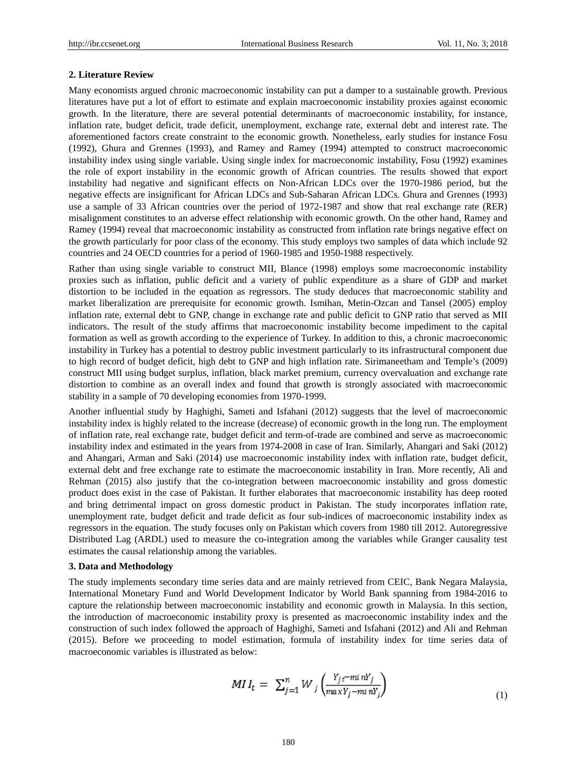## 2. Literature Review

Many economists argued chronic macroeconomic instability can put a damper to a sustainable growth. Previous literatures have put a lot of effort to estimate and explain macroeconomic instability proxies against economic growth. In the literature, there are several potential determinants of macroeconomic instability, for instance, inflation rate, budget deficit, trade deficit, unemployment, exchange rate, external debt and interest rate. The aforementioned factors create constraint to the economic growth. Nonetheless, early studies for instance Fosu (1992), Ghura and Grennes (1993), and Ramey and Ramey (1994) attempted to construct macroeconomic instability index using single variable. Using single index for macroeconomic instability, Fosu (1992) examines the role of export instability in the economic growth of African countries. The results showed that export instability had negative and significant effects on Non-African LDCs over the 1970-1986 period, but the negative effects are insignificant for African LDCs and Sub-Saharan African LDCs. Ghura and Grennes (1993) use a sample of 33 African countries over the period of 1972-1987 and show that real exchange rate (RER) misalignment constitutes to an adverse effect relationship with economic growth. On the other hand, Ramey and Ramey (1994) reveal that macroeconomic instability as constructed from inflation rate brings negative effect on the growth particularly for poor class of the economy. This study employs two samples of data which include 92 countries and 24 OECD countries for a period of 1960-1985 and 1950-1988 respectively.

Rather than using single variable to construct MII, Blance (1998) employs some macroeconomic instability proxies such as inflation, public deficit and a variety of public expenditure as a share of GDP and market distortion to be included in the equation as regressors. The study deduces that macroeconomic stability and market liberalization are prerequisite for economic growth. Ismihan, Metin-Ozcan and Tansel (2005) employ inflation rate, external debt to GNP, change in exchange rate and public deficit to GNP ratio that served as MII indicators. The result of the study affirms that macroeconomic instability become impediment to the capital formation as well as growth according to the experience of Turkey. In addition to this, a chronic macroeconomic instability in Turkey has a potential to destroy public investment particularly to its infrastructural component due to high record of budget deficit, high debt to GNP and high inflation rate. Sirimaneetham and Temple's (2009) construct MII using budget surplus, inflation, black market premium, currency overvaluation and exchange rate distortion to combine as an overall index and found that growth is strongly associated with macroeconomic stability in a sample of 70 developing economies from 1970-1999.

Another influential study by Haghighi, Sameti and Isfahani (2012) suggests that the level of macroeconomic instability index is highly related to the increase (decrease) of economic growth in the long run. The employment of inflation rate, real exchange rate, budget deficit and term-of-trade are combined and serve as macroeconomic instability index and estimated in the years from 1974-2008 in case of Iran. Similarly, Ahangari and Saki (2012) and Ahangari, Arman and Saki (2014) use macroeconomic instability index with inflation rate, budget deficit, external debt and free exchange rate to estimate the macroeconomic instability in Iran. More recently, Ali and Rehman (2015) also justify that the co-integration between macroeconomic instability and gross domestic product does exist in the case of Pakistan. It further elaborates that macroeconomic instability has deep rooted and bring detrimental impact on gross domestic product in Pakistan. The study incorporates inflation rate, unemployment rate, budget deficit and trade deficit as four sub-indices of macroeconomic instability index as regressors in the equation. The study focuses only on Pakistan which covers from 1980 till 2012. Autoregressive Distributed Lag (ARDL) used to measure the co-integration among the variables while Granger causality test estimates the causal relationship among the variables.

## 3. Data and Methodology

The study implements secondary time series data and are mainly retrieved from CEIC, Bank Negara Malaysia, International Monetary Fund and World Development Indicator by World Bank spanning from 1984-2016 to capture the relationship between macroeconomic instability and economic growth in Malaysia. In this section, the introduction of macroeconomic instability proxy is presented as macroeconomic instability index and the construction of such index followed the approach of Haghighi, Sameti and Isfahani (2012) and Ali and Rehman (2015). Before we proceeding to model estimation, formula of instability index for time series data of macroeconomic variables is illustrated as below:

$$
MI_{t} = \sum_{j=1}^{n} W_{j} \left( \frac{Y_{j} t^{-m i} n Y_{j}}{\max Y_{j} - m i} \right)
$$
\n
$$
(1)
$$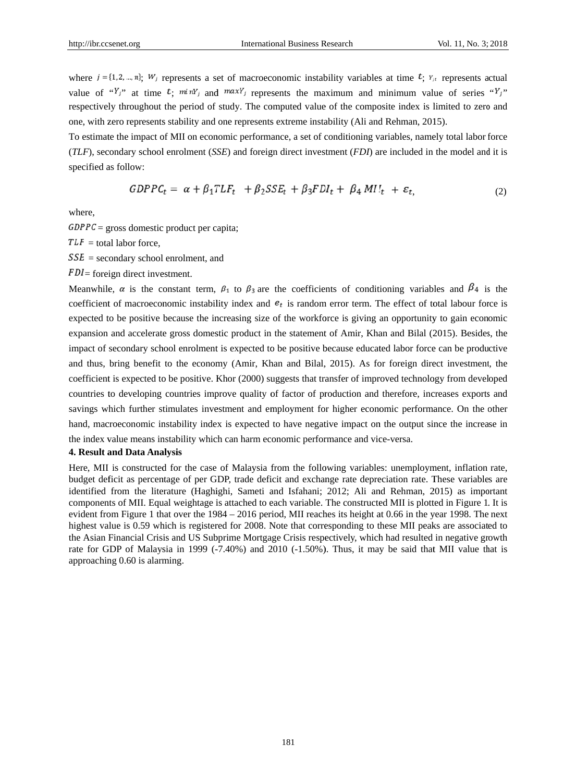where  $i = \{1, 2, ..., n\}$ ,  $W_j$  represents a set of macroeconomic instability variables at time  $t$ ;  $Y_{jk}$  represents actual value of " $Y_j$ " at time  $t_j$  min' and  $\max Y_j$  represents the maximum and minimum value of series " $Y_j$ " respectively throughout the period of study. The computed value of the composite index is limited to zero and one, with zero represents stability and one represents extreme instability (Ali and Rehman, 2015).

To estimate the impact of MII on economic performance, a set of conditioning variables, namely total labor force  $(TLF)$ , secondary school enrolment (SSE) and foreign direct investment (FDI) are included in the model and it is specified as follow:

$$
GDPPC_t = \alpha + \beta_1 TLF_t + \beta_2 SSE_t + \beta_3 FDI_t + \beta_4 MIL_t + \varepsilon_t
$$
\n<sup>(2)</sup>

where.

 $GDPPC =$  gross domestic product per capita;

 $TLF = total$  labor force.

 $SSE$  = secondary school enrolment, and

 $FDI$  = foreign direct investment.

Meanwhile,  $\alpha$  is the constant term,  $\beta_1$  to  $\beta_3$  are the coefficients of conditioning variables and  $\beta_4$  is the coefficient of macroeconomic instability index and  $e_t$  is random error term. The effect of total labour force is expected to be positive because the increasing size of the workforce is giving an opportunity to gain economic expansion and accelerate gross domestic product in the statement of Amir, Khan and Bilal (2015). Besides, the impact of secondary school enrolment is expected to be positive because educated labor force can be productive and thus, bring benefit to the economy (Amir, Khan and Bilal, 2015). As for foreign direct investment, the coefficient is expected to be positive. Khor (2000) suggests that transfer of improved technology from developed countries to developing countries improve quality of factor of production and therefore, increases exports and savings which further stimulates investment and employment for higher economic performance. On the other hand, macroeconomic instability index is expected to have negative impact on the output since the increase in the index value means instability which can harm economic performance and vice-versa.

## **4. Result and Data Analysis**

Here, MII is constructed for the case of Malaysia from the following variables: unemployment, inflation rate, budget deficit as percentage of per GDP, trade deficit and exchange rate depreciation rate. These variables are identified from the literature (Haghighi, Sameti and Isfahani; 2012; Ali and Rehman, 2015) as important components of MII. Equal weightage is attached to each variable. The constructed MII is plotted in Figure 1. It is evident from Figure 1 that over the 1984 – 2016 period, MII reaches its height at 0.66 in the year 1998. The next highest value is 0.59 which is registered for 2008. Note that corresponding to these MII peaks are associated to the Asian Financial Crisis and US Subprime Mortgage Crisis respectively, which had resulted in negative growth rate for GDP of Malaysia in 1999 (-7.40%) and 2010 (-1.50%). Thus, it may be said that MII value that is approaching 0.60 is alarming.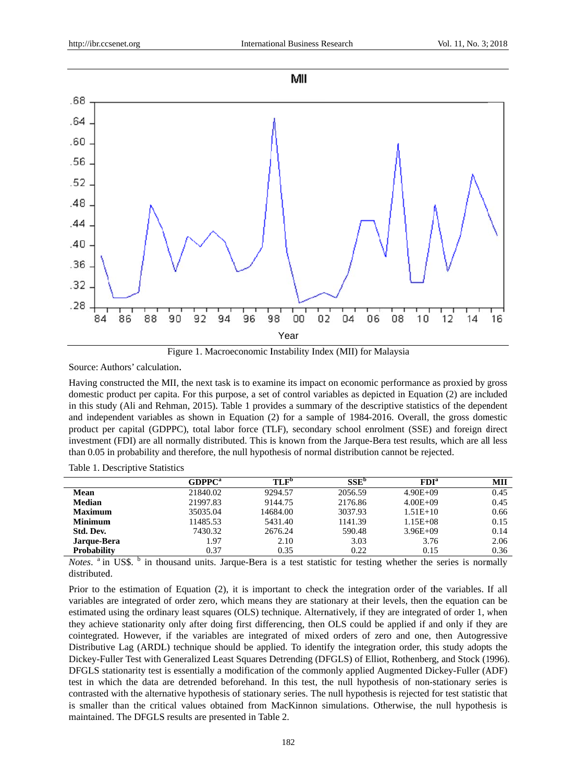

Figure 1. Macroeconomic Instability Index (MII) for Malaysia

Source: Authors' calculation.

Having constructed the MII, the next task is to examine its impact on economic performance as proxied by gross domestic product per capita. For this purpose, a set of control variables as depicted in Equation (2) are included in this study (Ali and Rehman, 2015). Table 1 provides a summary of the descriptive statistics of the dependent and independent variables as shown in Equation (2) for a sample of 1984-2016. Overall, the gross domestic product per capital (GDPPC), total labor force (TLF), secondary school enrolment (SSE) and foreign direct investment (FDI) are all normally distributed. This is known from the Jarque-Bera test results, which are all less than 0.05 in probability and therefore, the null hypothesis of normal distribution cannot be rejected.

Table 1. Descriptive Statistics

|                    | GDPPC <sup>a</sup> | TLF <sup>b</sup> | SSE <sup>b</sup> | FDI <sup>a</sup> | MII  |
|--------------------|--------------------|------------------|------------------|------------------|------|
| <b>Mean</b>        | 21840.02           | 9294.57          | 2056.59          | $4.90E + 09$     | 0.45 |
| <b>Median</b>      | 21997.83           | 9144.75          | 2176.86          | $4.00E + 09$     | 0.45 |
| <b>Maximum</b>     | 35035.04           | 14684.00         | 3037.93          | $1.51E+10$       | 0.66 |
| <b>Minimum</b>     | 11485.53           | 5431.40          | 1141.39          | $1.15E + 08$     | 0.15 |
| Std. Dev.          | 7430.32            | 2676.24          | 590.48           | $3.96E + 09$     | 0.14 |
| Jarque-Bera        | 1.97               | 2.10             | 3.03             | 3.76             | 2.06 |
| <b>Probability</b> | 0.37               | 0.35             | 0.22             | 0.15             | 0.36 |
|                    |                    |                  |                  |                  |      |

Notes. <sup>a</sup> in US\$. <sup>b</sup> in thousand units. Jarque-Bera is a test statistic for testing whether the series is normally distributed.

Prior to the estimation of Equation (2), it is important to check the integration order of the variables. If all variables are integrated of order zero, which means they are stationary at their levels, then the equation can be estimated using the ordinary least squares (OLS) technique. Alternatively, if they are integrated of order 1, when they achieve stationarity only after doing first differencing, then OLS could be applied if and only if they are cointegrated. However, if the variables are integrated of mixed orders of zero and one, then Autogressive Distributive Lag (ARDL) technique should be applied. To identify the integration order, this study adopts the Dickey-Fuller Test with Generalized Least Squares Detrending (DFGLS) of Elliot, Rothenberg, and Stock (1996). DFGLS stationarity test is essentially a modification of the commonly applied Augmented Dickey-Fuller (ADF) test in which the data are detrended beforehand. In this test, the null hypothesis of non-stationary series is contrasted with the alternative hypothesis of stationary series. The null hypothesis is rejected for test statistic that is smaller than the critical values obtained from MacKinnon simulations. Otherwise, the null hypothesis is maintained. The DFGLS results are presented in Table 2.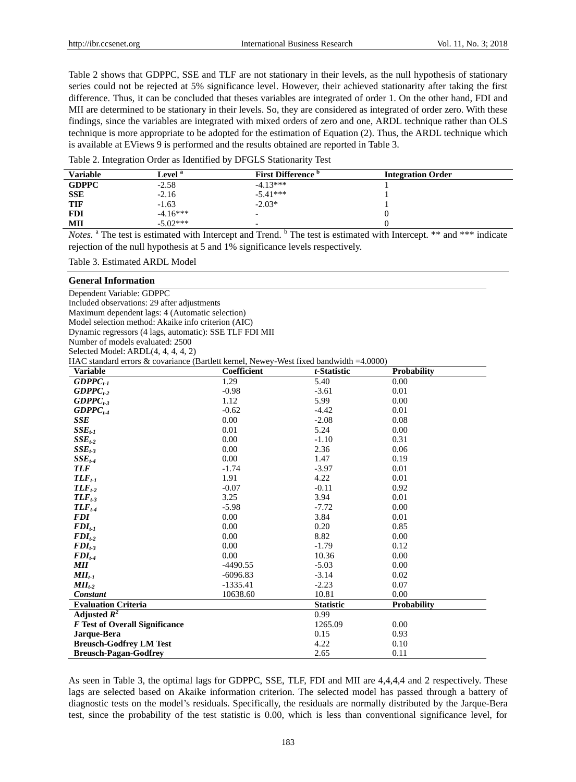Table 2 shows that GDPPC, SSE and TLF are not stationary in their levels, as the null hypothesis of stationary series could not be rejected at 5% significance level. However, their achieved stationarity after taking the first difference. Thus, it can be concluded that theses variables are integrated of order 1. On the other hand, FDI and MII are determined to be stationary in their levels. So, they are considered as integrated of order zero. With these findings, since the variables are integrated with mixed orders of zero and one, ARDL technique rather than OLS technique is more appropriate to be adopted for the estimation of Equation (2). Thus, the ARDL technique which is available at EViews 9 is performed and the results obtained are reported in Table 3.

Table 2. Integration Order as Identified by DFGLS Stationarity Test

| <b>Variable</b> | Level <sup>a</sup> | <b>First Difference</b> <sup>b</sup> | <b>Integration Order</b> |
|-----------------|--------------------|--------------------------------------|--------------------------|
| <b>GDPPC</b>    | $-2.58$            | $-4.13***$                           |                          |
| <b>SSE</b>      | $-2.16$            | $-5.41***$                           |                          |
| <b>TIF</b>      | $-1.63$            | $-2.03*$                             |                          |
| <b>FDI</b>      | $-4.16***$         |                                      |                          |
| MII             | $-5.02***$         | -                                    |                          |

Notes. <sup>a</sup> The test is estimated with Intercept and Trend. <sup>b</sup> The test is estimated with Intercept. \*\* and \*\*\* indicate rejection of the null hypothesis at 5 and 1% significance levels respectively.

Table 3. Estimated ARDL Model

#### **General Information**

Dependent Variable: GDPPC Included observations: 29 after adjustments Maximum dependent lags: 4 (Automatic selection) Model selection method: Akaike info criterion (AIC) Dynamic regressors (4 lags, automatic): SSE TLF FDI MII Number of models evaluated: 2500 Selected Model: ARDL(4, 4, 4, 4, 2)

HAC standard errors & covariance (Bartlett kernel, Newey-West fixed bandwidth =4.0000)

| <b>Variable</b>                       | Coefficient | t-Statistic      | <b>Probability</b> |
|---------------------------------------|-------------|------------------|--------------------|
| $GDPPC_{t-1}$                         | 1.29        | 5.40             | 0.00               |
| $GDPPC_{t-2}$                         | $-0.98$     | $-3.61$          | 0.01               |
| $GDPPC_{t-3}$                         | 1.12        | 5.99             | 0.00               |
| $GDPPC_{t-4}$                         | $-0.62$     | $-4.42$          | 0.01               |
| SSE                                   | 0.00        | $-2.08$          | 0.08               |
| $SSE_{t-1}$                           | 0.01        | 5.24             | 0.00               |
| $SSE_{t-2}$                           | 0.00        | $-1.10$          | 0.31               |
| $SSE_{t-3}$                           | 0.00        | 2.36             | 0.06               |
| $SSE_{t-4}$                           | 0.00        | 1.47             | 0.19               |
| <b>TLF</b>                            | $-1.74$     | $-3.97$          | 0.01               |
| $TLF_{t-1}$                           | 1.91        | 4.22             | 0.01               |
| $TLF_{t-2}$                           | $-0.07$     | $-0.11$          | 0.92               |
| $TLF_{t-3}$                           | 3.25        | 3.94             | 0.01               |
| $TLF_{t-4}$                           | $-5.98$     | $-7.72$          | 0.00               |
| <b>FDI</b>                            | 0.00        | 3.84             | 0.01               |
| $FDI_{t-1}$                           | 0.00        | 0.20             | 0.85               |
| $FDI_{t-2}$                           | 0.00        | 8.82             | 0.00               |
| $FDI_{t-3}$                           | 0.00        | $-1.79$          | 0.12               |
| $FDI_{t-4}$                           | 0.00        | 10.36            | 0.00               |
| <b>MII</b>                            | $-4490.55$  | $-5.03$          | 0.00               |
| $MI_{t-1}$                            | $-6096.83$  | $-3.14$          | 0.02               |
| $MII_{t-2}$                           | $-1335.41$  | $-2.23$          | 0.07               |
| Constant                              | 10638.60    | 10.81            | 0.00               |
| <b>Evaluation Criteria</b>            |             | <b>Statistic</b> | <b>Probability</b> |
| Adjusted $R^2$                        |             | 0.99             |                    |
| <b>F</b> Test of Overall Significance |             | 1265.09          | 0.00               |
| Jarque-Bera                           |             | 0.15             | 0.93               |
| <b>Breusch-Godfrey LM Test</b>        |             | 4.22             | 0.10               |
| <b>Breusch-Pagan-Godfrey</b>          |             | 2.65             | 0.11               |

As seen in Table 3, the optimal lags for GDPPC, SSE, TLF, FDI and MII are 4,4,4,4 and 2 respectively. These lags are selected based on Akaike information criterion. The selected model has passed through a battery of diagnostic tests on the model's residuals. Specifically, the residuals are normally distributed by the Jarque-Bera test, since the probability of the test statistic is 0.00, which is less than conventional significance level, for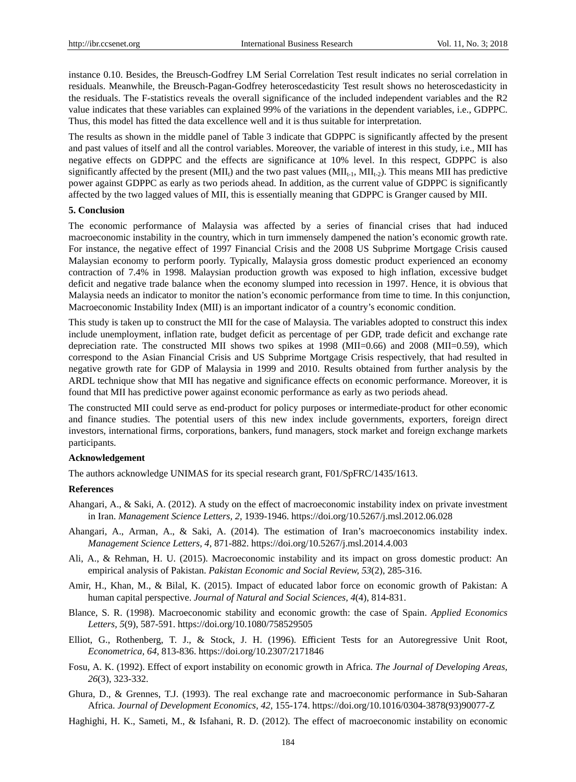instance 0.10. Besides, the Breusch-Godfrey LM Serial Correlation Test result indicates no serial correlation in residuals. Meanwhile, the Breusch-Pagan-Godfrey heteroscedasticity Test result shows no heteroscedasticity in the residuals. The F-statistics reveals the overall significance of the included independent variables and the R2 value indicates that these variables can explained 99% of the variations in the dependent variables, i.e., GDPPC. Thus, this model has fitted the data excellence well and it is thus suitable for interpretation.

The results as shown in the middle panel of Table 3 indicate that GDPPC is significantly affected by the present and past values of itself and all the control variables. Moreover, the variable of interest in this study, i.e., MII has negative effects on GDPPC and the effects are significance at 10% level. In this respect, GDPPC is also significantly affected by the present (MII<sub>t</sub>) and the two past values ( $\text{MII}_{t-1}$ ,  $\text{MII}_{t-2}$ ). This means MII has predictive power against GDPPC as early as two periods ahead. In addition, as the current value of GDPPC is significantly affected by the two lagged values of MII, this is essentially meaning that GDPPC is Granger caused by MII.

# **5. Conclusion**

The economic performance of Malaysia was affected by a series of financial crises that had induced macroeconomic instability in the country, which in turn immensely dampened the nation's economic growth rate. For instance, the negative effect of 1997 Financial Crisis and the 2008 US Subprime Mortgage Crisis caused Malaysian economy to perform poorly. Typically, Malaysia gross domestic product experienced an economy contraction of 7.4% in 1998. Malaysian production growth was exposed to high inflation, excessive budget deficit and negative trade balance when the economy slumped into recession in 1997. Hence, it is obvious that Malaysia needs an indicator to monitor the nation's economic performance from time to time. In this conjunction, Macroeconomic Instability Index (MII) is an important indicator of a country's economic condition.

This study is taken up to construct the MII for the case of Malaysia. The variables adopted to construct this index include unemployment, inflation rate, budget deficit as percentage of per GDP, trade deficit and exchange rate depreciation rate. The constructed MII shows two spikes at 1998 (MII=0.66) and 2008 (MII=0.59), which correspond to the Asian Financial Crisis and US Subprime Mortgage Crisis respectively, that had resulted in negative growth rate for GDP of Malaysia in 1999 and 2010. Results obtained from further analysis by the ARDL technique show that MII has negative and significance effects on economic performance. Moreover, it is found that MII has predictive power against economic performance as early as two periods ahead.

The constructed MII could serve as end-product for policy purposes or intermediate-product for other economic and finance studies. The potential users of this new index include governments, exporters, foreign direct investors, international firms, corporations, bankers, fund managers, stock market and foreign exchange markets participants.

#### **Acknowledgement**

The authors acknowledge UNIMAS for its special research grant, F01/SpFRC/1435/1613.

### **References**

- Ahangari, A., & Saki, A. (2012). A study on the effect of macroeconomic instability index on private investment in Iran. *Management Science Letters, 2,* 1939-1946. https://doi.org/10.5267/j.msl.2012.06.028
- Ahangari, A., Arman, A., & Saki, A. (2014). The estimation of Iran's macroeconomics instability index. *Management Science Letters, 4,* 871-882. https://doi.org/10.5267/j.msl.2014.4.003
- Ali, A., & Rehman, H. U. (2015). Macroeconomic instability and its impact on gross domestic product: An empirical analysis of Pakistan. *Pakistan Economic and Social Review, 53*(2), 285-316.
- Amir, H., Khan, M., & Bilal, K. (2015). Impact of educated labor force on economic growth of Pakistan: A human capital perspective. *Journal of Natural and Social Sciences, 4*(4), 814-831.
- Blance, S. R. (1998). Macroeconomic stability and economic growth: the case of Spain. *Applied Economics Letters, 5*(9), 587-591. https://doi.org/10.1080/758529505
- Elliot, G., Rothenberg, T. J., & Stock, J. H. (1996). Efficient Tests for an Autoregressive Unit Root, *Econometrica, 64,* 813-836. https://doi.org/10.2307/2171846
- Fosu, A. K. (1992). Effect of export instability on economic growth in Africa. *The Journal of Developing Areas, 26*(3), 323-332.
- Ghura, D., & Grennes, T.J. (1993). The real exchange rate and macroeconomic performance in Sub-Saharan Africa. *Journal of Development Economics, 42,* 155-174. https://doi.org/10.1016/0304-3878(93)90077-Z
- Haghighi, H. K., Sameti, M., & Isfahani, R. D. (2012). The effect of macroeconomic instability on economic